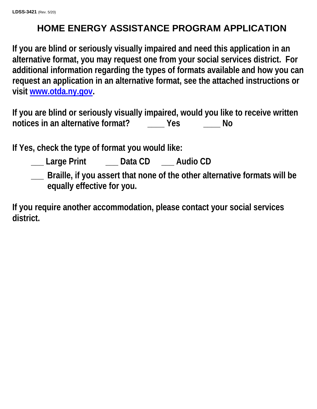# **HOME ENERGY ASSISTANCE PROGRAM APPLICATION**

**If you are blind or seriously visually impaired and need this application in an alternative format, you may request one from your social services district. For additional information regarding the types of formats available and how you can request an application in an alternative format, see the attached instructions or visit [www.otda.ny.gov.](http://www.otda.ny.gov/)**

**If you are blind or seriously visually impaired, would you like to receive written notices in an alternative format? \_\_\_\_ Yes \_\_\_\_ No**

**If Yes, check the type of format you would like:**

- **\_\_\_ Large Print \_\_\_ Data CD \_\_\_ Audio CD**
- **\_\_\_ Braille, if you assert that none of the other alternative formats will be equally effective for you.**

**If you require another accommodation, please contact your social services district.**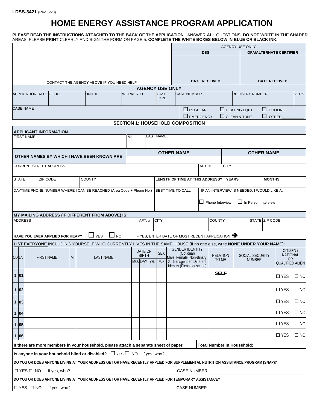# **HOME ENERGY ASSISTANCE PROGRAM APPLICATION**

**PLEASE READ THE INSTRUCTIONS ATTACHED TO THE BACK OF THE APPLICATION**. ANSWER **ALL** QUESTIONS. **DO NOT** WRITE IN THE **SHADED** AREAS. PLEASE **PRINT** CLEARLY AND SIGN THE FORM ON PAGE 5. **COMPLETE THE WHITE BOXES BELOW IN BLUE OR BLACK INK.**

|                                                                                                                                 |                           |                  |                         |  |             |                          |                                                        |                                               |                                            | <b>AGENCY USE ONLY</b> |                         |                            |                |                                     |              |
|---------------------------------------------------------------------------------------------------------------------------------|---------------------------|------------------|-------------------------|--|-------------|--------------------------|--------------------------------------------------------|-----------------------------------------------|--------------------------------------------|------------------------|-------------------------|----------------------------|----------------|-------------------------------------|--------------|
|                                                                                                                                 |                           |                  |                         |  |             |                          | <b>DSS</b>                                             |                                               |                                            |                        | OFA/ALTERNATE CERTIFIER |                            |                |                                     |              |
|                                                                                                                                 |                           |                  |                         |  |             |                          |                                                        |                                               |                                            |                        |                         |                            |                |                                     |              |
|                                                                                                                                 |                           |                  |                         |  |             |                          |                                                        |                                               |                                            |                        |                         |                            |                |                                     |              |
|                                                                                                                                 |                           |                  |                         |  |             |                          |                                                        |                                               |                                            |                        |                         |                            |                |                                     |              |
| CONTACT THE AGENCY ABOVE IF YOU NEED HELP                                                                                       |                           |                  | <b>DATE RECEIVED</b>    |  |             |                          |                                                        |                                               | <b>DATE RECEIVED</b>                       |                        |                         |                            |                |                                     |              |
| UNIT ID<br><b>APPLICATION DATE OFFICE</b>                                                                                       |                           | <b>WORKER ID</b> |                         |  | CASE        | <b>AGENCY USE ONLY</b>   | <b>CASE NUMBER</b>                                     |                                               |                                            |                        |                         | <b>REGISTRY NUMBER</b>     |                |                                     | VERS.        |
|                                                                                                                                 |                           |                  |                         |  | <b>TYPE</b> |                          |                                                        |                                               |                                            |                        |                         |                            |                |                                     |              |
| <b>CASE NAME</b>                                                                                                                |                           |                  |                         |  |             |                          |                                                        | $\Box$ REGULAR                                |                                            | $\Box$ HEATING EQPT    |                         |                            | $\Box$ COOLING |                                     |              |
|                                                                                                                                 |                           |                  |                         |  |             |                          |                                                        | $\Box$ EMERGENCY                              |                                            | $\Box$ CLEAN & TUNE    |                         |                            |                | <b>OTHER</b>                        |              |
| <b>SECTION 1: HOUSEHOLD COMPOSITION</b>                                                                                         |                           |                  |                         |  |             |                          |                                                        |                                               |                                            |                        |                         |                            |                |                                     |              |
| <b>APPLICANT INFORMATION</b><br><b>LAST NAME</b>                                                                                |                           |                  |                         |  |             |                          |                                                        |                                               |                                            |                        |                         |                            |                |                                     |              |
| <b>FIRST NAME</b>                                                                                                               |                           | MI               |                         |  |             |                          |                                                        |                                               |                                            |                        |                         |                            |                |                                     |              |
|                                                                                                                                 |                           |                  |                         |  |             | <b>OTHER NAME</b>        |                                                        |                                               |                                            |                        |                         |                            |                |                                     |              |
| <b>OTHER NAMES BY WHICH I HAVE BEEN KNOWN ARE:</b>                                                                              |                           |                  |                         |  |             |                          |                                                        |                                               |                                            |                        |                         | <b>OTHER NAME</b>          |                |                                     |              |
| <b>CURRENT STREET ADDRESS</b>                                                                                                   |                           |                  |                         |  |             |                          |                                                        | APT.#                                         |                                            | <b>CITY</b>            |                         |                            |                |                                     |              |
|                                                                                                                                 |                           |                  |                         |  |             |                          |                                                        |                                               |                                            |                        |                         |                            |                |                                     |              |
| <b>STATE</b><br>ZIP CODE<br><b>COUNTY</b>                                                                                       |                           |                  |                         |  |             |                          |                                                        | LENGTH OF TIME AT THIS ADDRESS? YEARS         |                                            |                        |                         |                            | <b>MONTHS</b>  |                                     |              |
| DAYTIME PHONE NUMBER WHERE I CAN BE REACHED (Area Code + Phone No.)                                                             |                           |                  |                         |  |             | <b>BEST TIME TO CALL</b> |                                                        |                                               | IF AN INTERVIEW IS NEEDED, I WOULD LIKE A: |                        |                         |                            |                |                                     |              |
|                                                                                                                                 |                           |                  |                         |  |             |                          |                                                        |                                               |                                            |                        |                         |                            |                |                                     |              |
|                                                                                                                                 |                           |                  |                         |  |             |                          |                                                        |                                               | Phone Interview                            |                        |                         | $\Box$ In Person Interview |                |                                     |              |
| MY MAILING ADDRESS (IF DIFFERENT FROM ABOVE) IS:                                                                                |                           |                  |                         |  |             |                          |                                                        |                                               |                                            |                        |                         |                            |                |                                     |              |
| <b>ADDRESS</b>                                                                                                                  |                           |                  | APT.#                   |  | <b>CITY</b> |                          |                                                        |                                               | <b>COUNTY</b>                              |                        |                         | STATE ZIP CODE             |                |                                     |              |
|                                                                                                                                 |                           |                  |                         |  |             |                          |                                                        |                                               |                                            |                        |                         |                            |                |                                     |              |
| HAVE YOU EVER APPLIED FOR HEAP?                                                                                                 | $\Box$ NO<br>$\sqcup$ YES |                  |                         |  |             |                          |                                                        | IF YES, ENTER DATE OF MOST RECENT APPLICATION |                                            |                        |                         |                            |                |                                     |              |
| LIST EVERYONE INCLUDING YOURSELF WHO CURRENTLY LIVES IN THE SAME HOUSE (If no one else, write NONE UNDER YOUR NAME):            |                           |                  |                         |  |             |                          |                                                        |                                               |                                            |                        |                         |                            |                |                                     |              |
|                                                                                                                                 |                           |                  | DATE OF<br><b>BIRTH</b> |  | <b>SEX</b>  |                          | <b>GENDER IDENTITY</b><br>(Optional)                   |                                               | <b>RELATION</b>                            |                        |                         | SOCIAL SECURITY            |                | CITIZEN /<br><b>NATIONAL</b>        |              |
| <b>CD</b> LN<br><b>FIRST NAME</b><br>MI                                                                                         | <b>LAST NAME</b>          |                  | MO. DAY YR. M/F         |  |             |                          | Male, Female, Non-Binary,<br>X, Transgender, Different |                                               | TO ME                                      |                        |                         | <b>NUMBER</b>              |                | <b>OR</b><br><b>QUALIFIED ALIEN</b> |              |
|                                                                                                                                 |                           |                  |                         |  |             |                          | Identity (Please describe)                             |                                               |                                            |                        |                         |                            |                |                                     |              |
| 1 01                                                                                                                            |                           |                  |                         |  |             |                          |                                                        |                                               | <b>SELF</b>                                |                        |                         |                            |                | $\square$ YES                       | $\square$ NO |
| 1 02                                                                                                                            |                           |                  |                         |  |             |                          |                                                        |                                               |                                            |                        |                         |                            |                | $\Box$ YES                          | $\square$ NO |
| 1 03                                                                                                                            |                           |                  |                         |  |             |                          |                                                        |                                               |                                            |                        |                         |                            |                | $\Box$ YES                          | $\square$ NO |
|                                                                                                                                 |                           |                  |                         |  |             |                          |                                                        |                                               |                                            |                        |                         |                            |                | $\square$ YES                       | $\square$ NO |
| 1 04                                                                                                                            |                           |                  |                         |  |             |                          |                                                        |                                               |                                            |                        |                         |                            |                |                                     |              |
| 1 05                                                                                                                            |                           |                  |                         |  |             |                          |                                                        |                                               |                                            |                        |                         |                            |                | $\square$ YES                       | $\square$ NO |
| 1 06                                                                                                                            |                           |                  |                         |  |             |                          |                                                        |                                               |                                            |                        |                         |                            |                | $\Box$ YES                          | $\square$ NO |
| If there are more members in your household, please attach a separate sheet of paper.                                           |                           |                  |                         |  |             |                          |                                                        |                                               | Total Number in Household: _____           |                        |                         |                            |                |                                     |              |
| Is anyone in your household blind or disabled? $\Box$ YES $\Box$ NO If yes, who? $\Box$                                         |                           |                  |                         |  |             |                          |                                                        |                                               |                                            |                        |                         |                            |                |                                     |              |
| DO YOU OR DOES ANYONE LIVING AT YOUR ADDRESS GET OR HAVE RECENTLY APPLIED FOR SUPPLEMENTAL NUTRITION ASSISTANCE PROGRAM (SNAP)? |                           |                  |                         |  |             |                          |                                                        |                                               |                                            |                        |                         |                            |                |                                     |              |
| $\Box$ YES $\Box$ NO                                                                                                            |                           |                  |                         |  |             |                          |                                                        | CASE NUMBER _____________________________     |                                            |                        |                         |                            |                |                                     |              |
| DO YOU OR DOES ANYONE LIVING AT YOUR ADDRESS GET OR HAVE RECENTLY APPLIED FOR TEMPORARY ASSISTANCE?                             |                           |                  |                         |  |             |                          |                                                        |                                               |                                            |                        |                         |                            |                |                                     |              |
| □ YES □ NO<br>CASE NUMBER                                                                                                       |                           |                  |                         |  |             |                          |                                                        |                                               |                                            |                        |                         |                            |                |                                     |              |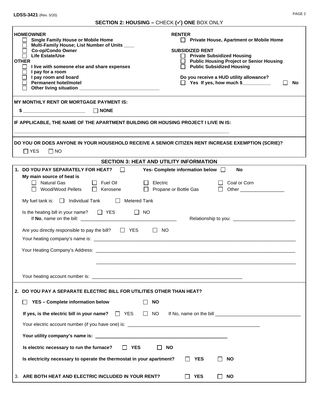# **SECTION 2: HOUSING –** CHECK **() ONE** BOX ONLY

| <b>HOMEOWNER</b><br>Single Family House or Mobile Home<br>Multi-Family House; List Number of Units ____<br>Co-op/Condo Owner<br><b>Life Estate/Use</b><br><b>OTHER</b><br>I live with someone else and share expenses<br>$\perp$<br>I pay for a room<br>I pay room and board<br><b>Permanent hotel/motel</b>                                  | <b>RENTER</b><br><b>Private House, Apartment or Mobile Home</b><br><b>SUBSIDIZED RENT</b><br>□ Private Subsidized Housing<br>□ Public Housing Project or Senior Housing<br>Public Subsidized Housing<br>Do you receive a HUD utility allowance?<br>$\Box$ Yes If yes, how much \$<br>No |
|-----------------------------------------------------------------------------------------------------------------------------------------------------------------------------------------------------------------------------------------------------------------------------------------------------------------------------------------------|-----------------------------------------------------------------------------------------------------------------------------------------------------------------------------------------------------------------------------------------------------------------------------------------|
| <b>MY MONTHLY RENT OR MORTGAGE PAYMENT IS:</b>                                                                                                                                                                                                                                                                                                |                                                                                                                                                                                                                                                                                         |
| $\frac{1}{2}$ NONE                                                                                                                                                                                                                                                                                                                            |                                                                                                                                                                                                                                                                                         |
| IF APPLICABLE, THE NAME OF THE APARTMENT BUILDING OR HOUSING PROJECT I LIVE IN IS:                                                                                                                                                                                                                                                            |                                                                                                                                                                                                                                                                                         |
|                                                                                                                                                                                                                                                                                                                                               |                                                                                                                                                                                                                                                                                         |
| DO YOU OR DOES ANYONE IN YOUR HOUSEHOLD RECEIVE A SENIOR CITIZEN RENT INCREASE EXEMPTION (SCRIE)?                                                                                                                                                                                                                                             |                                                                                                                                                                                                                                                                                         |
| $\Box$ YES<br>$\Box$ NO                                                                                                                                                                                                                                                                                                                       |                                                                                                                                                                                                                                                                                         |
| 1. DO YOU PAY SEPARATELY FOR HEAT?                                                                                                                                                                                                                                                                                                            | <b>SECTION 3: HEAT AND UTILITY INFORMATION</b><br>Yes- Complete information below $\Box$<br>No                                                                                                                                                                                          |
| My main source of heat is<br>$\Box$ Natural Gas<br>$\Box$ Fuel Oil<br>$\Box$ Electric<br>□ Wood/Wood Pellets<br>$\Box$ Kerosene                                                                                                                                                                                                               | Coal or Corn<br>□ Propane or Bottle Gas<br>$\perp$                                                                                                                                                                                                                                      |
| My fuel tank is: $\Box$ Individual Tank<br>$\Box$ Metered Tank                                                                                                                                                                                                                                                                                |                                                                                                                                                                                                                                                                                         |
| Is the heating bill in your name? $\Box$ YES<br>II NO<br>If No, name on the bill: $\frac{1}{2}$ and $\frac{1}{2}$ and $\frac{1}{2}$ and $\frac{1}{2}$ and $\frac{1}{2}$ and $\frac{1}{2}$ and $\frac{1}{2}$ and $\frac{1}{2}$ and $\frac{1}{2}$ and $\frac{1}{2}$ and $\frac{1}{2}$ and $\frac{1}{2}$ and $\frac{1}{2}$ and $\frac{1}{2}$ and |                                                                                                                                                                                                                                                                                         |
| Are you directly responsible to pay the bill? $\Box$ YES                                                                                                                                                                                                                                                                                      | $\Box$ NO                                                                                                                                                                                                                                                                               |
|                                                                                                                                                                                                                                                                                                                                               |                                                                                                                                                                                                                                                                                         |
|                                                                                                                                                                                                                                                                                                                                               |                                                                                                                                                                                                                                                                                         |
|                                                                                                                                                                                                                                                                                                                                               |                                                                                                                                                                                                                                                                                         |
|                                                                                                                                                                                                                                                                                                                                               |                                                                                                                                                                                                                                                                                         |
|                                                                                                                                                                                                                                                                                                                                               |                                                                                                                                                                                                                                                                                         |
| 2. DO YOU PAY A SEPARATE ELECTRIC BILL FOR UTILITIES OTHER THAN HEAT?                                                                                                                                                                                                                                                                         |                                                                                                                                                                                                                                                                                         |
| YES - Complete information below<br>$\Box$ NO                                                                                                                                                                                                                                                                                                 |                                                                                                                                                                                                                                                                                         |
| If yes, is the electric bill in your name? $\Box$ YES<br>$\Box$ NO                                                                                                                                                                                                                                                                            |                                                                                                                                                                                                                                                                                         |
|                                                                                                                                                                                                                                                                                                                                               |                                                                                                                                                                                                                                                                                         |
|                                                                                                                                                                                                                                                                                                                                               |                                                                                                                                                                                                                                                                                         |
| Is electric necessary to run the furnace?<br>II YES                                                                                                                                                                                                                                                                                           | <b>NO</b>                                                                                                                                                                                                                                                                               |
| Is electricity necessary to operate the thermostat in your apartment?                                                                                                                                                                                                                                                                         | <b>YES</b><br><b>NO</b>                                                                                                                                                                                                                                                                 |
| ARE BOTH HEAT AND ELECTRIC INCLUDED IN YOUR RENT?<br>3.                                                                                                                                                                                                                                                                                       | <b>YES</b><br><b>NO</b><br>$\Box$                                                                                                                                                                                                                                                       |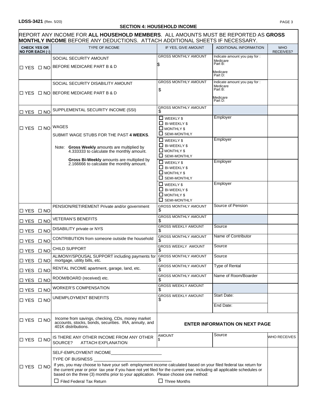### **SECTION 4: HOUSEHOLD INCOME**

|                                                |              | REPORT ANY INCOME FOR <b>ALL HOUSEHOLD MEMBERS</b> .  ALL AMOUNTS MUST BE REPORTED AS <b>GROSS</b><br><b>MONTHLY INCOME BEFORE ANY DEDUCTIONS. ATTACH ADDITIONAL SHEETS IF NECESSARY.</b>                                                     |                                                    |                                                      |                         |
|------------------------------------------------|--------------|-----------------------------------------------------------------------------------------------------------------------------------------------------------------------------------------------------------------------------------------------|----------------------------------------------------|------------------------------------------------------|-------------------------|
| <b>CHECK YES OR</b><br>NO FOR EACH $(\sqrt{})$ |              | <b>TYPE OF INCOME</b>                                                                                                                                                                                                                         | IF YES. GIVE AMOUNT                                | ADDITIONAL INFORMATION                               | <b>WHO</b><br>RECEIVES? |
|                                                |              | SOCIAL SECURITY AMOUNT                                                                                                                                                                                                                        | <b>GROSS MONTHLY AMOUNT</b>                        | Indicate amount you pay for :<br>Medicare<br>Part B: |                         |
|                                                |              | □ YES □ NO BEFORE MEDICARE PART B & D                                                                                                                                                                                                         |                                                    |                                                      |                         |
|                                                |              |                                                                                                                                                                                                                                               |                                                    | Medicare<br>Part D:                                  |                         |
|                                                |              | SOCIAL SECURITY DISABILITY AMOUNT                                                                                                                                                                                                             | <b>GROSS MONTHLY AMOUNT</b>                        | Indicate amount you pay for :<br>Medicare<br>Part B: |                         |
|                                                |              | □ YES □ NO BEFORE MEDICARE PART B & D                                                                                                                                                                                                         | \$                                                 | Medicare<br>Part D:                                  |                         |
|                                                |              |                                                                                                                                                                                                                                               | <b>GROSS MONTHLY AMOUNT</b>                        |                                                      |                         |
| □ YES                                          | $\Box$ NO    | SUPPLEMENTAL SECURITY INCOME (SSI)                                                                                                                                                                                                            | \$                                                 | Employer                                             |                         |
|                                                |              |                                                                                                                                                                                                                                               | <b>NEEKLY \$</b><br>$\Box$ BI-WEEKLY \$            |                                                      |                         |
|                                                |              | DYES D NO WAGES<br>SUBMIT WAGE STUBS FOR THE PAST 4 WEEKS.                                                                                                                                                                                    | <b>O</b> MONTHLY \$<br><b>SEMI-MONTHLY</b>         |                                                      |                         |
|                                                |              |                                                                                                                                                                                                                                               | $\Box$ WEEKLY \$                                   | Employer                                             |                         |
|                                                |              | Note: Gross Weekly amounts are multiplied by<br>4.333333 to calculate the monthly amount.                                                                                                                                                     | $\Box$ BI-WEEKLY \$<br>$\Box$ MONTHLY \$           |                                                      |                         |
|                                                |              | Gross Bi-Weekly amounts are multiplied by<br>2.166666 to calculate the monthly amount.                                                                                                                                                        | $\Box$ SEMI-MONTHLY<br>$\Box$ WEEKLY \$            | Employer                                             |                         |
|                                                |              |                                                                                                                                                                                                                                               | $\Box$ BI-WEEKLY \$                                |                                                      |                         |
|                                                |              |                                                                                                                                                                                                                                               | $\Box$ MONTHLY \$<br>$\Box$ SEMI-MONTHLY           |                                                      |                         |
|                                                |              |                                                                                                                                                                                                                                               | $\Box$ WEEKLY \$<br>$\Box$ BI-WEEKLY \$            | Employer                                             |                         |
|                                                |              |                                                                                                                                                                                                                                               | $\Box$ MONTHLY \$                                  |                                                      |                         |
|                                                |              | PENSION/RETIREMENT Private and/or government                                                                                                                                                                                                  | $\Box$ SEMI-MONTHLY<br><b>GROSS MONTHLY AMOUNT</b> | Source of Pension                                    |                         |
| □ YES                                          | $\square$ NO |                                                                                                                                                                                                                                               | \$<br><b>GROSS MONTHLY AMOUNT</b>                  |                                                      |                         |
| □ YES                                          | $\square$ NO | <b>VETERAN'S BENEFITS</b>                                                                                                                                                                                                                     | S                                                  |                                                      |                         |
| □ YES                                          | $\square$ NO | DISABILITY private or NYS                                                                                                                                                                                                                     | <b>GROSS WEEKLY AMOUNT</b>                         | Source                                               |                         |
| □ YES                                          | $\square$ NO | CONTRIBUTION from someone outside the household                                                                                                                                                                                               | <b>GROSS MONTHLY AMOUNT</b><br>\$                  | Name of Contributor                                  |                         |
| □ YES                                          | $\Box$ NO    | <b>CHILD SUPPORT</b>                                                                                                                                                                                                                          | <b>GROSS WEEKLY AMOUNT</b>                         | Source                                               |                         |
|                                                |              | ALIMONY/SPOUSAL SUPPORT including payments for GROSS MONTHLY AMOUNT<br>$\Box$ YES $\Box$ NO mortgage, utility bills, etc.                                                                                                                     |                                                    | Source                                               |                         |
| □ YES                                          | $\square$ NO | RENTAL INCOME apartment, garage, land, etc.                                                                                                                                                                                                   | GROSS MONTHLY AMOUNT                               | <b>Type of Rental</b>                                |                         |
| □ YES                                          | $\square$ NO | ROOM/BOARD (received) etc.                                                                                                                                                                                                                    | <b>GROSS MONTHLY AMOUNT</b>                        | Name of Room/Boarder                                 |                         |
| $\square$ YES                                  | $\square$ NO | <b>WORKER'S COMPENSATION</b>                                                                                                                                                                                                                  | <b>GROSS WEEKLY AMOUNT</b>                         |                                                      |                         |
| □ YES □ NO                                     |              | UNEMPLOYMENT BENEFITS                                                                                                                                                                                                                         | <b>GROSS WEEKLY AMOUNT</b>                         | Start Date:                                          |                         |
|                                                |              |                                                                                                                                                                                                                                               |                                                    | End Date:                                            |                         |
| □ YES □ NO                                     |              | Income from savings, checking, CDs, money market<br>accounts, stocks, bonds, securities. IRA, annuity, and<br>401K distributions.                                                                                                             |                                                    | <b>ENTER INFORMATION ON NEXT PAGE</b>                |                         |
| □ YES □ NO                                     |              | IS THERE ANY OTHER INCOME FROM ANY OTHER<br>SOURCE?<br><b>ATTACH EXPLANATION</b>                                                                                                                                                              | <b>AMOUNT</b>                                      | Source                                               | WHO RECEIVES            |
|                                                |              | SELF-EMPLOYMENT INCOME                                                                                                                                                                                                                        |                                                    |                                                      |                         |
|                                                |              | <b>TYPE OF BUSINESS</b>                                                                                                                                                                                                                       |                                                    |                                                      |                         |
| $\Box$ YES $\Box$ NO                           |              | If yes, you may choose to have your self- employment income calculated based on your filed federal tax return for<br>the current year or prior tax year if you have not yet filed for the current year, including all applicable schedules or |                                                    |                                                      |                         |
|                                                |              | based on the three (3) months prior to your application. Please choose one method:<br>$\Box$ Filed Federal Tax Return                                                                                                                         | $\Box$ Three Months                                |                                                      |                         |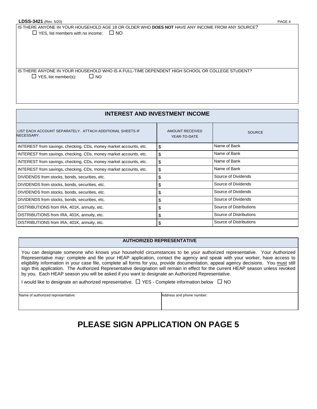IS THERE ANYONE IN YOUR HOUSEHOLD AGE 18 OR OLDER WHO **DOES NOT** HAVE ANY INCOME FROM ANY SOURCE?  $\Box$  YES, list members with no income:  $\Box$  NO

IS THERE ANYONE IN YOUR HOUSEHOLD WHO IS A FULL-TIME DEPENDENT HIGH SCHOOL OR COLLEGE STUDENT?  $\Box$  YES, list member(s):  $\Box$  NO

### **INTEREST AND INVESTMENT INCOME**

| I LIST EACH ACCOUNT SEPARATELY.  ATTACH ADDITIONAL SHEETS IF<br>NECESSARY. | AMOUNT RECEIVED<br>YEAR-TO-DATE | <b>SOURCE</b>           |
|----------------------------------------------------------------------------|---------------------------------|-------------------------|
| INTEREST from savings, checking, CDs, money market accounts, etc.          | \$                              | Name of Bank            |
| INTEREST from savings, checking, CDs, money market accounts, etc.          | \$                              | Name of Bank            |
| INTEREST from savings, checking, CDs, money market accounts, etc.          | \$                              | Name of Bank            |
| INTEREST from savings, checking, CDs, money market accounts, etc.          | \$                              | Name of Bank            |
| DIVIDENDS from stocks, bonds, securities, etc.                             | \$                              | Source of Dividends     |
| DIVIDENDS from stocks, bonds, securities, etc.                             | J                               | Source of Dividends     |
| DIVIDENDS from stocks, bonds, securities, etc.                             | S                               | Source of Dividends     |
| DIVIDENDS from stocks, bonds, securities, etc.                             | \$                              | Source of Dividends     |
| DISTRIBUTIONS from IRA, 401K, annuity, etc.                                | \$                              | Source of Distributions |
| DISTRIBUTIONS from IRA, 401K, annuity, etc.                                | J)                              | Source of Distributions |
| DISTRIBUTIONS from IRA, 401K, annuity, etc.                                |                                 | Source of Distributions |

#### **AUTHORIZED REPRESENTATIVE**

You can designate someone who knows your household circumstances to be your authorized representative. Your Authorized Representative may: complete and file your HEAP application, contact the agency and speak with your worker, have access to eligibility information in your case file, complete all forms for you, provide documentation, appeal agency decisions. You must still sign this application. The Authorized Representative designation will remain in effect for the current HEAP season unless revoked by you. Each HEAP season you will be asked if you want to designate an Authorized Representative.

I would like to designate an authorized representative.  $\Box$  YES - Complete information below  $\Box$  NO

|  |  |  | Name of authorized representative: |  |
|--|--|--|------------------------------------|--|
|  |  |  |                                    |  |

Address and phone number:

# **PLEASE SIGN APPLICATION ON PAGE 5**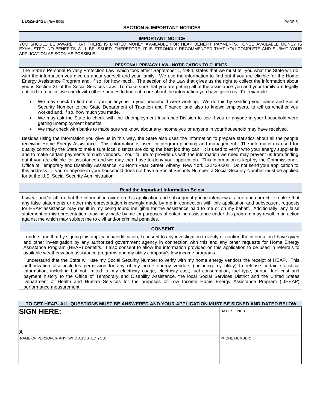#### **SECTION 5: IMPORTANT NOTICES**

#### **IMPORTANT NOTICE**

YOU SHOULD BE AWARE THAT THERE IS LIMITED MONEY AVAILABLE FOR HEAP BENEFIT PAYMENTS. ONCE AVAILABLE MONEY IS EXHAUSTED, NO BENEFITS WILL BE ISSUED. THEREFORE, IT IS STRONGLY RECOMMENDED THAT YOU COMPLETE AND SUBMIT YOUR APPLICATION AS SOON AS POSSIBLE.

#### **PERSONAL PRIVACY LAW - NOTIFICATION TO CLIENTS**

The State's Personal Privacy Protection Law, which took effect September 1, 1984, states that we must tell you what the State will do with the information you give us about yourself and your family. We use the information to find out if you are eligible for the Home Energy Assistance Program and, if so, for how much. The section of the Law that gives us the right to collect the information about you is Section 21 of the Social Services Law. To make sure that you are getting all of the assistance you and your family are legally entitled to receive, we check with other sources to find out more about the information you have given us. For example:

- We may check to find out if you or anyone in your household were working. We do this by sending your name and Social Security Number to the State Department of Taxation and Finance, and also to known employers, to tell us whether you worked and, if so, how much you made.
- We may ask the State to check with the Unemployment Insurance Division to see if you or anyone in your household were getting unemployment benefits.
- We may check with banks to make sure we know about any income you or anyone in your household may have received.

Besides using the information you give us in this way, the State also uses the information to prepare statistics about all the people receiving Home Energy Assistance. This information is used for program planning and management. The information is used for quality control by the State to make sure local districts are doing the best job they can. It is used to verify who your energy supplier is and to make certain payments to such vendors. Your failure to provide us with the information we need may prevent us from finding out if you are eligible for assistance and we may then have to deny your application. This information is kept by the Commissioner, Office of Temporary and Disability Assistance, 40 North Pearl Street, Albany, New York 12243-0001. Do not send your application to this address. If you or anyone in your household does not have a Social Security Number, a Social Security Number must be applied for at the U.S. Social Security Administration.

#### **Read the Important Information Below**

I swear and/or affirm that the information given on this application and subsequent phone interviews is true and correct. I realize that any false statements or other misrepresentation knowingly made by me in connection with this application and subsequent requests for HEAP assistance may result in my being found ineligible for the assistance paid to me or on my behalf. Additionally, any false statement or misrepresentation knowingly made by me for purposes of obtaining assistance under this program may result in an action against me which may subject me to civil and/or criminal penalties.

#### **CONSENT**

I understand that by signing this application/certification, I consent to any investigation to verify or confirm the information I have given and other investigation by any authorized government agency in connection with this and any other requests for Home Energy Assistance Program (HEAP) benefits. I also consent to allow the information provided on this application to be used in referrals to available weatherization assistance programs and my utility company's low income programs.

I understand that the State will use my Social Security Number to verify with my home energy vendors the receipt of HEAP. This authorization also includes permission for any of my home energy vendors (including my utility) to release certain statistical information, including but not limited to, my electricity usage, electricity cost, fuel consumption, fuel type, annual fuel cost and payment history to the Office of Temporary and Disability Assistance, the local Social Services District and the United States Department of Health and Human Services for the purposes of Low Income Home Energy Assistance Program (LIHEAP) performance measurement.

| TO GET HEAP- ALL QUESTIONS MUST BE ANSWERED AND YOUR APPLICATION MUST BE SIGNED AND DATED BELOW. |                      |
|--------------------------------------------------------------------------------------------------|----------------------|
| <b>SIGN HERE:</b>                                                                                | <b>DATE SIGNED</b>   |
|                                                                                                  |                      |
| X                                                                                                |                      |
| NAME OF PERSON, IF ANY, WHO ASSISTED YOU:                                                        | <b>PHONE NUMBER:</b> |
|                                                                                                  |                      |
|                                                                                                  |                      |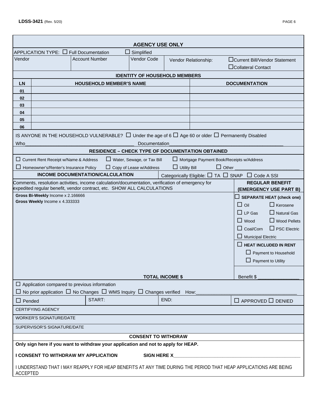|                                                                     |                                                                                                                                                                                                                                                               |                       |                                         | <b>AGENCY USE ONLY</b>               |                        |                                                                                                                     |                                                                                                                                                                                                                                                                                                                                    |  |  |
|---------------------------------------------------------------------|---------------------------------------------------------------------------------------------------------------------------------------------------------------------------------------------------------------------------------------------------------------|-----------------------|-----------------------------------------|--------------------------------------|------------------------|---------------------------------------------------------------------------------------------------------------------|------------------------------------------------------------------------------------------------------------------------------------------------------------------------------------------------------------------------------------------------------------------------------------------------------------------------------------|--|--|
|                                                                     | APPLICATION TYPE: $\Box$ Full Documentation                                                                                                                                                                                                                   |                       |                                         | Simplified<br>$\mathsf{L}$           |                        |                                                                                                                     |                                                                                                                                                                                                                                                                                                                                    |  |  |
| Vendor                                                              |                                                                                                                                                                                                                                                               | <b>Account Number</b> |                                         | <b>Vendor Code</b>                   |                        | Vendor Relationship:                                                                                                | □Current Bill/Vendor Statement<br>□Collateral Contact                                                                                                                                                                                                                                                                              |  |  |
|                                                                     |                                                                                                                                                                                                                                                               |                       |                                         | <b>IDENTITY OF HOUSEHOLD MEMBERS</b> |                        |                                                                                                                     |                                                                                                                                                                                                                                                                                                                                    |  |  |
| <b>LN</b>                                                           |                                                                                                                                                                                                                                                               |                       | <b>DOCUMENTATION</b>                    |                                      |                        |                                                                                                                     |                                                                                                                                                                                                                                                                                                                                    |  |  |
| 01                                                                  |                                                                                                                                                                                                                                                               |                       |                                         |                                      |                        |                                                                                                                     |                                                                                                                                                                                                                                                                                                                                    |  |  |
| 02                                                                  |                                                                                                                                                                                                                                                               |                       |                                         |                                      |                        |                                                                                                                     |                                                                                                                                                                                                                                                                                                                                    |  |  |
| 03                                                                  |                                                                                                                                                                                                                                                               |                       |                                         |                                      |                        |                                                                                                                     |                                                                                                                                                                                                                                                                                                                                    |  |  |
| 04                                                                  |                                                                                                                                                                                                                                                               |                       |                                         |                                      |                        |                                                                                                                     |                                                                                                                                                                                                                                                                                                                                    |  |  |
| 05                                                                  |                                                                                                                                                                                                                                                               |                       |                                         |                                      |                        |                                                                                                                     |                                                                                                                                                                                                                                                                                                                                    |  |  |
| 06                                                                  |                                                                                                                                                                                                                                                               |                       |                                         |                                      |                        |                                                                                                                     |                                                                                                                                                                                                                                                                                                                                    |  |  |
|                                                                     |                                                                                                                                                                                                                                                               |                       |                                         |                                      |                        | IS ANYONE IN THE HOUSEHOLD VULNERABLE? $\Box$ Under the age of 6 $\Box$ Age 60 or older $\Box$ Permanently Disabled |                                                                                                                                                                                                                                                                                                                                    |  |  |
| <b>Who</b>                                                          |                                                                                                                                                                                                                                                               |                       |                                         | Documentation                        |                        |                                                                                                                     |                                                                                                                                                                                                                                                                                                                                    |  |  |
|                                                                     |                                                                                                                                                                                                                                                               |                       |                                         |                                      |                        | <b>RESIDENCE - CHECK TYPE OF DOCUMENTATION OBTAINED</b>                                                             |                                                                                                                                                                                                                                                                                                                                    |  |  |
|                                                                     | $\Box$ Current Rent Receipt w/Name & Address                                                                                                                                                                                                                  |                       |                                         | $\Box$ Water, Sewage, or Tax Bill    |                        | Mortgage Payment Book/Receipts w/Address<br>$\Box$ Other                                                            |                                                                                                                                                                                                                                                                                                                                    |  |  |
|                                                                     | □ Homeowner's/Renter's Insurance Policy                                                                                                                                                                                                                       |                       | <b>INCOME DOCUMENTATION/CALCULATION</b> | $\Box$ Copy of Lease w/Address       | <b>Utility Bill</b>    |                                                                                                                     | Categorically Eligible: □ TA □ SNAP □ Code A SSI                                                                                                                                                                                                                                                                                   |  |  |
|                                                                     | Comments, resolution activities, income calculation/documentation, verification of emergency for                                                                                                                                                              |                       |                                         |                                      |                        |                                                                                                                     | <b>REGULAR BENEFIT</b>                                                                                                                                                                                                                                                                                                             |  |  |
|                                                                     | expedited regular benefit, vendor contract, etc. SHOW ALL CALCULATIONS                                                                                                                                                                                        |                       |                                         |                                      |                        |                                                                                                                     | (EMERGENCY USE PART B)                                                                                                                                                                                                                                                                                                             |  |  |
| Gross Bi-Weekly Income x 2.166666<br>Gross Weekly Income x 4.333333 |                                                                                                                                                                                                                                                               |                       |                                         |                                      |                        |                                                                                                                     | $\Box$ SEPARATE HEAT (check one)<br>$\Box$ Oil<br>$\Box$ Kerosene<br>$\Box$ LP Gas<br>$\Box$ Natural Gas<br>$\Box$ Wood<br>$\Box$ Wood Pellets<br>$\Box$ Coal/Corn<br>$\Box$ PSC Electric<br>$\Box$ Municipal Electric<br><b>HEAT INCLUDED IN RENT</b><br>$\mathsf{L}$<br>$\Box$ Payment to Household<br>$\Box$ Payment to Utility |  |  |
|                                                                     |                                                                                                                                                                                                                                                               |                       |                                         |                                      | <b>TOTAL INCOME \$</b> |                                                                                                                     | Benefit \$                                                                                                                                                                                                                                                                                                                         |  |  |
|                                                                     | $\Box$ Application compared to previous information                                                                                                                                                                                                           |                       |                                         |                                      |                        |                                                                                                                     |                                                                                                                                                                                                                                                                                                                                    |  |  |
|                                                                     | $\Box$ No prior application $\Box$ No Changes $\Box$ WMS Inquiry $\Box$ Changes verified How:                                                                                                                                                                 |                       |                                         |                                      |                        |                                                                                                                     |                                                                                                                                                                                                                                                                                                                                    |  |  |
| $\Box$ Pended                                                       |                                                                                                                                                                                                                                                               |                       | START:                                  |                                      | END:                   |                                                                                                                     | $\Box$ APPROVED $\Box$ DENIED                                                                                                                                                                                                                                                                                                      |  |  |
|                                                                     | <b>CERTIFYING AGENCY</b>                                                                                                                                                                                                                                      |                       |                                         |                                      |                        |                                                                                                                     |                                                                                                                                                                                                                                                                                                                                    |  |  |
|                                                                     | <b>WORKER'S SIGNATURE/DATE</b>                                                                                                                                                                                                                                |                       |                                         |                                      |                        |                                                                                                                     |                                                                                                                                                                                                                                                                                                                                    |  |  |
|                                                                     | SUPERVISOR'S SIGNATURE/DATE                                                                                                                                                                                                                                   |                       |                                         |                                      |                        |                                                                                                                     |                                                                                                                                                                                                                                                                                                                                    |  |  |
|                                                                     |                                                                                                                                                                                                                                                               |                       |                                         | <b>CONSENT TO WITHDRAW</b>           |                        |                                                                                                                     |                                                                                                                                                                                                                                                                                                                                    |  |  |
|                                                                     | Only sign here if you want to withdraw your application and not to apply for HEAP.<br>I CONSENT TO WITHDRAW MY APPLICATION<br>SIGN HERE X<br>I UNDERSTAND THAT I MAY REAPPLY FOR HEAP BENEFITS AT ANY TIME DURING THE PERIOD THAT HEAP APPLICATIONS ARE BEING |                       |                                         |                                      |                        |                                                                                                                     |                                                                                                                                                                                                                                                                                                                                    |  |  |
| <b>ACCEPTED</b>                                                     |                                                                                                                                                                                                                                                               |                       |                                         |                                      |                        |                                                                                                                     |                                                                                                                                                                                                                                                                                                                                    |  |  |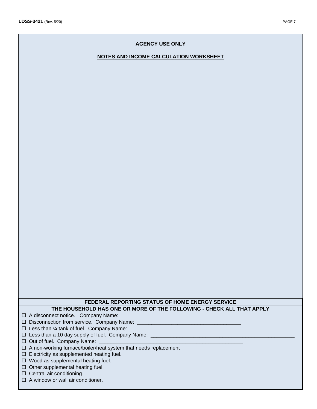## **AGENCY USE ONLY**

## **NOTES AND INCOME CALCULATION WORKSHEET**

# **FEDERAL REPORTING STATUS OF HOME ENERGY SERVICE THE HOUSEHOLD HAS ONE OR MORE OF THE FOLLOWING - CHECK ALL THAT APPLY**

 $\Box$  A disconnect notice. Company Name:

 $\square$  Disconnection from service. Company Name: \_\_\_\_\_\_\_\_\_\_\_\_\_\_\_\_\_\_\_\_\_\_\_\_\_\_\_\_\_\_\_\_\_

- $\Box$  Less than 1/4 tank of fuel. Company Name:
- □ Less than a 10 day supply of fuel. Company Name: \_\_\_\_\_\_\_\_\_\_\_\_\_\_\_\_\_\_\_\_\_\_\_\_\_\_\_\_\_
- $\Box$  Out of fuel. Company Name:
- A non-working furnace/boiler/heat system that needs replacement
- $\Box$  Electricity as supplemented heating fuel.

 $\Box$  Wood as supplemental heating fuel.

- $\Box$  Other supplemental heating fuel.
- $\Box$  Central air conditioning.
- $\Box$  A window or wall air conditioner.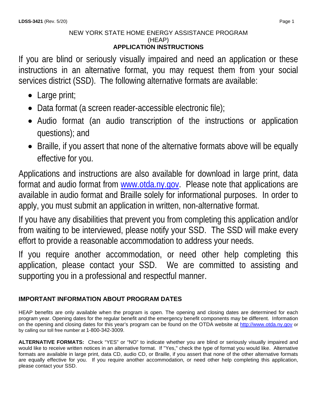# NEW YORK STATE HOME ENERGY ASSISTANCE PROGRAM (HEAP) **APPLICATION INSTRUCTIONS**

If you are blind or seriously visually impaired and need an application or these instructions in an alternative format, you may request them from your social services district (SSD). The following alternative formats are available:

- Large print;
- Data format (a screen reader-accessible electronic file);
- Audio format (an audio transcription of the instructions or application questions); and
- Braille, if you assert that none of the alternative formats above will be equally effective for you.

Applications and instructions are also available for download in large print, data format and audio format from [www.otda.ny.gov.](http://www.otda.ny.gov/) Please note that applications are available in audio format and Braille solely for informational purposes. In order to apply, you must submit an application in written, non-alternative format.

If you have any disabilities that prevent you from completing this application and/or from waiting to be interviewed, please notify your SSD. The SSD will make every effort to provide a reasonable accommodation to address your needs.

If you require another accommodation, or need other help completing this application, please contact your SSD. We are committed to assisting and supporting you in a professional and respectful manner.

# **IMPORTANT INFORMATION ABOUT PROGRAM DATES**

HEAP benefits are only available when the program is open. The opening and closing dates are determined for each program year. Opening dates for the regular benefit and the emergency benefit components may be different. Information on the opening and closing dates for this year's program can be found on the OTDA website at [http://www.otda.ny.gov](http://www.otda.ny.gov/) or by calling our toll free number at 1-800-342-3009.

**ALTERNATIVE FORMATS:** Check "YES" or "NO" to indicate whether you are blind or seriously visually impaired and would like to receive written notices in an alternative format. If "Yes," check the type of format you would like. Alternative formats are available in large print, data CD, audio CD, or Braille, if you assert that none of the other alternative formats are equally effective for you. If you require another accommodation, or need other help completing this application, please contact your SSD.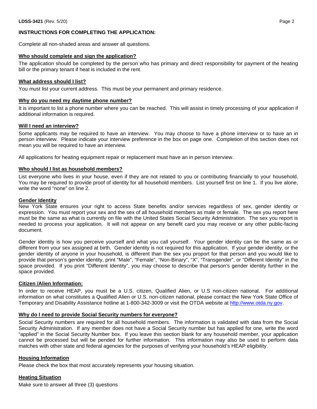## **INSTRUCTIONS FOR COMPLETING THE APPLICATION:**

Complete all non-shaded areas and answer all questions.

#### **Who should complete and sign the application?**

The application should be completed by the person who has primary and direct responsibility for payment of the heating bill or the primary tenant if heat is included in the rent.

#### **What address should I list?**

You must list your current address. This must be your permanent and primary residence.

#### **Why do you need my daytime phone number?**

It is important to list a phone number where you can be reached. This will assist in timely processing of your application if additional information is required.

#### **Will I need an interview?**

Some applicants may be required to have an interview. You may choose to have a phone interview or to have an in person interview. Please indicate your interview preference in the box on page one. Completion of this section does not mean you will be required to have an interview.

All applications for heating equipment repair or replacement must have an in person interview.

#### **Who should I list as household members?**

List everyone who lives in your house, even if they are not related to you or contributing financially to your household. You may be required to provide proof of identity for all household members. List yourself first on line 1. If you live alone, write the word "none" on line 2.

#### **Gender Identity**

New York State ensures your right to access State benefits and/or services regardless of sex, gender identity or expression. You must report your sex and the sex of all household members as male or female. The sex you report here must be the same as what is currently on file with the United States Social Security Administration. The sex you report is needed to process your application. It will not appear on any benefit card you may receive or any other public-facing document.

Gender identity is how you perceive yourself and what you call yourself. Your gender identity can be the same as or different from your sex assigned at birth. Gender identity is not required for this application. If your gender identity, or the gender identity of anyone in your household, is different than the sex you proport for that person and you would like to provide that person's gender identity, print "Male", "Female", "Non-Binary", "X", "Transgender", or "Different Identity" in the space provided. If you print "Different Identity", you may choose to describe that person's gender identity further in the space provided.

#### **Citizen /Alien Information:**

In order to receive HEAP, you must be a U.S. citizen, Qualified Alien, or U.S non-citizen national. For additional information on what constitutes a Qualified Alien or U.S. non-citizen national, please contact the New York State Office of Temporary and Disability Assistance hotline at 1-800-342-3009 or visit the OTDA website at [http://www.otda.ny.gov.](http://www.otda.ny.gov/)

#### **Why do I need to provide Social Security numbers for everyone?**

Social Security numbers are required for all household members. The information is validated with data from the Social Security Administration. If any member does not have a Social Security number but has applied for one, write the word "applied" in the Social Security Number box. If you leave this section blank for any household member, your application cannot be processed but will be pended for further information. This information may also be used to perform data matches with other state and federal agencies for the purposes of verifying your household's HEAP eligibility.

#### **Housing Information**

Please check the box that most accurately represents your housing situation.

#### **Heating Situation**

Make sure to answer all three (3) questions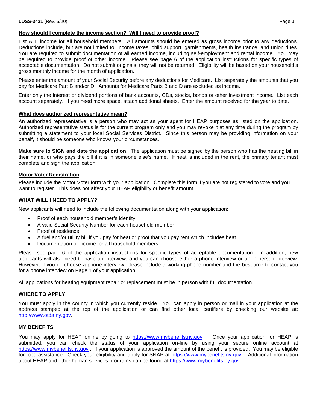## **How should I complete the income section? Will I need to provide proof?**

List ALL income for all household members. All amounts should be entered as gross income prior to any deductions. Deductions include, but are not limited to: income taxes, child support, garnishments, health insurance, and union dues. You are required to submit documentation of all earned income, including self-employment and rental income. You may be required to provide proof of other income. Please see page 6 of the application instructions for specific types of acceptable documentation. Do not submit originals, they will not be returned. Eligibility will be based on your household's gross monthly income for the month of application.

Please enter the amount of your Social Security before any deductions for Medicare. List separately the amounts that you pay for Medicare Part B and/or D. Amounts for Medicare Parts B and D are excluded as income.

Enter only the interest or dividend portions of bank accounts, CDs, stocks, bonds or other investment income. List each account separately. If you need more space, attach additional sheets. Enter the amount received for the year to date.

#### **What does authorized representative mean?**

An authorized representative is a person who may act as your agent for HEAP purposes as listed on the application. Authorized representative status is for the current program only and you may revoke it at any time during the program by submitting a statement to your local Social Services District. Since this person may be providing information on your behalf, it should be someone who knows your circumstances.

**Make sure to SIGN and date the application**. The application must be signed by the person who has the heating bill in their name, or who pays the bill if it is in someone else's name. If heat is included in the rent, the primary tenant must complete and sign the application.

#### **Motor Voter Registration**

Please include the Motor Voter form with your application. Complete this form if you are not registered to vote and you want to register. This does not affect your HEAP eligibility or benefit amount.

### **WHAT WILL I NEED TO APPLY?**

New applicants will need to include the following documentation along with your application:

- Proof of each household member's identity
- A valid Social Security Number for each household member
- Proof of residence
- A fuel and/or utility bill if you pay for heat or proof that you pay rent which includes heat
- Documentation of income for all household members

Please see page 6 of the application instructions for specific types of acceptable documentation. In addition, new applicants will also need to have an interview; and you can choose either a phone interview or an in person interview. However, if you do choose a phone interview, please include a working phone number and the best time to contact you for a phone interview on Page 1 of your application.

All applications for heating equipment repair or replacement must be in person with full documentation.

#### **WHERE TO APPLY:**

You must apply in the county in which you currently reside. You can apply in person or mail in your application at the address stamped at the top of the application or can find other local certifiers by checking our website at: [http://www.otda.ny.gov.](http://www.otda.ny.gov/)

#### **MY BENEFITS**

You may apply for HEAP online by going to [https://www.mybenefits.ny.gov](https://www.mybenefits.ny.gov/selfservice/) . Once your application for HEAP is submitted, you can check the status of your application on-line by using your secure online account at [https://www.mybenefits.ny.gov](https://www.mybenefits.ny.gov/) . If your application is approved the amount of the benefit is provided. You may be eligible for food assistance. Check your eligibility and apply for SNAP at [https://www.mybenefits.ny.gov](https://www.mybenefits.ny.gov/). Additional information about HEAP and other human services programs can be found at [https://www.mybenefits.ny.gov](https://www.mybenefits.ny.gov/).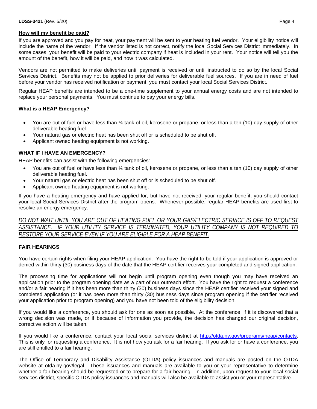#### **How will my benefit be paid?**

If you are approved and you pay for heat, your payment will be sent to your heating fuel vendor. Your eligibility notice will include the name of the vendor. If the vendor listed is not correct, notify the local Social Services District immediately. In some cases, your benefit will be paid to your electric company if heat is included in your rent. Your notice will tell you the amount of the benefit, how it will be paid, and how it was calculated.

Vendors are not permitted to make deliveries until payment is received or until instructed to do so by the local Social Services District. Benefits may not be applied to prior deliveries for deliverable fuel sources. If you are in need of fuel before your vendor has received notification or payment, you must contact your local Social Services District.

Regular HEAP benefits are intended to be a one-time supplement to your annual energy costs and are not intended to replace your personal payments. You must continue to pay your energy bills.

### **What is a HEAP Emergency?**

- You are out of fuel or have less than 1/4 tank of oil, kerosene or propane, or less than a ten (10) day supply of other deliverable heating fuel.
- Your natural gas or electric heat has been shut off or is scheduled to be shut off.
- Applicant owned heating equipment is not working.

### **WHAT IF I HAVE AN EMERGENCY?**

HEAP benefits can assist with the following emergencies:

- You are out of fuel or have less than ¼ tank of oil, kerosene or propane, or less than a ten (10) day supply of other deliverable heating fuel.
- Your natural gas or electric heat has been shut off or is scheduled to be shut off.
- Applicant owned heating equipment is not working.

If you have a heating emergency and have applied for, but have not received, your regular benefit, you should contact your local Social Services District after the program opens. Whenever possible, regular HEAP benefits are used first to resolve an energy emergency.

*DO NOT WAIT UNTIL YOU ARE OUT OF HEATING FUEL OR YOUR GAS/ELECTRIC SERVICE IS OFF TO REQUEST ASSISTANCE. IF YOUR UTILITY SERVICE IS TERMINATED, YOUR UTILITY COMPANY IS NOT REQUIRED TO RESTORE YOUR SERVICE EVEN IF YOU ARE ELIGIBLE FOR A HEAP BENEFIT.*

#### **FAIR HEARINGS**

You have certain rights when filing your HEAP application. You have the right to be told if your application is approved or denied within thirty (30) business days of the date that the HEAP certifier receives your completed and signed application.

The processing time for applications will not begin until program opening even though you may have received an application prior to the program opening date as a part of our outreach effort. You have the right to request a conference and/or a fair hearing if it has been more than thirty (30) business days since the HEAP certifier received your signed and completed application (or it has been more than thirty (30) business days since program opening if the certifier received your application prior to program opening) and you have not been told of the eligibility decision.

If you would like a conference, you should ask for one as soon as possible. At the conference, if it is discovered that a wrong decision was made**,** or if because of information you provide, the decision has changed our original decision, corrective action will be taken.

If you would like a conference, contact your local social services district at [http://otda.ny.gov/programs/heap/contacts.](http://otda.ny.gov/programs/heap/contacts) This is only for requesting a conference. It is not how you ask for a fair hearing. If you ask for or have a conference, you are still entitled to a fair hearing.

The Office of Temporary and Disability Assistance (OTDA) policy issuances and manuals are posted on the OTDA website at otda.ny.gov/legal. These issuances and manuals are available to you or your representative to determine whether a fair hearing should be requested or to prepare for a fair hearing. In addition, upon request to your local social services district, specific OTDA policy issuances and manuals will also be available to assist you or your representative.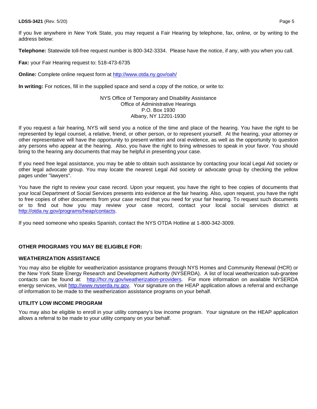If you live anywhere in New York State, you may request a Fair Hearing by telephone, fax, online, or by writing to the address below:

**Telephone:** Statewide toll-free request number is 800-342-3334. Please have the notice, if any, with you when you call.

**Fax:** your Fair Hearing request to: 518-473-6735

**Online:** Complete online request form at<http://www.otda.ny.gov/oah/>

**In writing:** For notices, fill in the supplied space and send a copy of the notice, or write to:

#### NYS Office of Temporary and Disability Assistance Office of Administrative Hearings P.O. Box 1930 Albany, NY 12201-1930

If you request a fair hearing, NYS will send you a notice of the time and place of the hearing. You have the right to be represented by legal counsel, a relative, friend, or other person, or to represent yourself. At the hearing, your attorney or other representative will have the opportunity to present written and oral evidence, as well as the opportunity to question any persons who appear at the hearing. Also, you have the right to bring witnesses to speak in your favor. You should bring to the hearing any documents that may be helpful in presenting your case.

If you need free legal assistance, you may be able to obtain such assistance by contacting your local Legal Aid society or other legal advocate group. You may locate the nearest Legal Aid society or advocate group by checking the yellow pages under "lawyers".

You have the right to review your case record. Upon your request, you have the right to free copies of documents that your local Department of Social Services presents into evidence at the fair hearing. Also, upon request, you have the right to free copies of other documents from your case record that you need for your fair hearing. To request such documents or to find out how you may review your case record, contact your local social services district at [http://otda.ny.gov/programs/heap/contacts.](http://otda.ny.gov/programs/heap/contacts)

If you need someone who speaks Spanish, contact the NYS OTDA Hotline at 1-800-342-3009.

# **OTHER PROGRAMS YOU MAY BE ELIGIBLE FOR:**

### **WEATHERIZATION ASSISTANCE**

You may also be eligible for weatherization assistance programs through NYS Homes and Community Renewal (HCR) or the New York State Energy Research and Development Authority (NYSERDA). A list of local weatherization sub-grantee contacts can be found at: [http://hcr.ny.gov/weatherization-providers.](http://hcr.ny.gov/weatherization-providers) For more information on available NYSERDA energy services, visit [http://www.nyserda.ny.gov.](http://www.nyserda.ny.gov/) Your signature on the HEAP application allows a referral and exchange of information to be made to the weatherization assistance programs on your behalf.

#### **UTILITY LOW INCOME PROGRAM**

You may also be eligible to enroll in your utility company's low income program. Your signature on the HEAP application allows a referral to be made to your utility company on your behalf.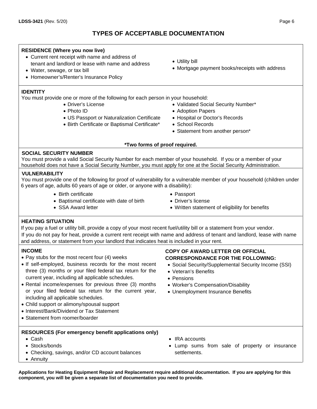# **TYPES OF ACCEPTABLE DOCUMENTATION**

# **RESIDENCE (Where you now live)**

- Current rent receipt with name and address of tenant and landlord or lease with name and address
- Water, sewage, or tax bill
- Homeowner's/Renter's Insurance Policy

# **IDENTITY**

You must provide one or more of the following for each person in your household:

- Driver's License
- Photo ID
- US Passport or Naturalization Certificate
- Birth Certificate or Baptismal Certificate\*
- Utility bill
- Mortgage payment books/receipts with address
- Validated Social Security Number\*
- Adoption Papers
- Hospital or Doctor's Records
- School Records
- Statement from another person\*

# **\*Two forms of proof required.**

# **SOCIAL SECURITY NUMBER**

You must provide a valid Social Security Number for each member of your household. If you or a member of your household does not have a Social Security Number, you must apply for one at the Social Security Administration.

# **VULNERABILITY**

You must provide one of the following for proof of vulnerability for a vulnerable member of your household (children under 6 years of age, adults 60 years of age or older, or anyone with a disability):

• Birth certificate

• SSA Award letter

- Baptismal certificate with date of birth
- Passport
- Driver's license
- Written statement of eligibility for benefits

**HEATING SITUATION**

If you pay a fuel or utility bill, provide a copy of your most recent fuel/utility bill or a statement from your vendor. If you do not pay for heat, provide a current rent receipt with name and address of tenant and landlord, lease with name and address, or statement from your landlord that indicates heat is included in your rent.

# **INCOME**

- Pay stubs for the most recent four (4) weeks
- If self-employed, business records for the most recent three (3) months or your filed federal tax return for the current year, including all applicable schedules.
- Rental income/expenses for previous three (3) months or your filed federal tax return for the current year, including all applicable schedules.
- Child support or alimony/spousal support
- Interest/Bank/Dividend or Tax Statement
- Statement from roomer/boarder

# **RESOURCES (For emergency benefit applications only)**

- Cash
- Stocks/bonds
- Checking, savings, and/or CD account balances
- Annuity
- **COPY OF AWARD LETTER OR OFFICIAL CORRESPONDANCE FOR THE FOLLOWING:**
- Social Security/Supplemental Security Income (SSI)
- Veteran's Benefits
- Pensions
- Worker's Compensation/Disability
- Unemployment Insurance Benefits

- IRA accounts
- Lump sums from sale of property or insurance settlements.

**Applications for Heating Equipment Repair and Replacement require additional documentation. If you are applying for this component, you will be given a separate list of documentation you need to provide.**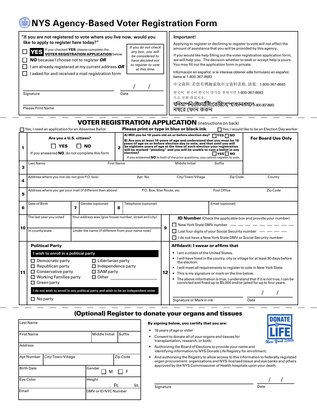# **NYS Agency-Based Voter Registration Form**

|    | "If you are not registered to vote where you live now, would you<br>like to apply to register here today?"<br>VES If you checked YES, please complete the<br><b>VOTER REGISTRATION APPLICATION below</b><br><b>NO</b> because I choose not to register OR<br>I am already registered at my current address OR<br>I asked for and received a mail registration form<br>Signature<br><b>Please Print Name</b> |                                                                                           | If you do not check<br>any box, you will<br>be considered to<br>have decided not<br>to register to vote<br>at this time.<br>Date |                                                                                                                                                                                                                                                                                                                                                                                                                                                                                                                                   | Important!<br>Applying to register or declining to register to vote will not affect the<br>amount of assistance that you will be provided by this agency.<br>If you would like help filling out the voter registration application form,<br>we will help you. The decision whether to seek or accept help is yours.<br>You may fill out the application form in private.<br>Información en español: si le interesa obtener este formulario en español,<br>Ilame al 1-800-367-8683<br>中文資料:若您有興趣索取中文資料表格,請電: 1-800-367-8683<br>한국어: 한국어 한국어 양식을 원하시면 1-800-367-8683<br>으로 전화 하십시오.<br>যদিআপনিএইফর্মটিংরেজীতেপেডোনতাহলে 300.367.3683<br>নম্বরে ফোন করুন |          |                                                                                                                                                                                                                                               |  |  |  |  |
|----|-------------------------------------------------------------------------------------------------------------------------------------------------------------------------------------------------------------------------------------------------------------------------------------------------------------------------------------------------------------------------------------------------------------|-------------------------------------------------------------------------------------------|----------------------------------------------------------------------------------------------------------------------------------|-----------------------------------------------------------------------------------------------------------------------------------------------------------------------------------------------------------------------------------------------------------------------------------------------------------------------------------------------------------------------------------------------------------------------------------------------------------------------------------------------------------------------------------|-------------------------------------------------------------------------------------------------------------------------------------------------------------------------------------------------------------------------------------------------------------------------------------------------------------------------------------------------------------------------------------------------------------------------------------------------------------------------------------------------------------------------------------------------------------------------------------------------------------------------------------------------------|----------|-----------------------------------------------------------------------------------------------------------------------------------------------------------------------------------------------------------------------------------------------|--|--|--|--|
|    | <b>VOTER REGISTRATION APPLICATION</b> (instructions on back)<br>Please print or type in blue or black ink<br>$\Box$ Yes, I need an application for an Absentee Ballot<br>Yes, I would like to be an Election Day worker                                                                                                                                                                                     |                                                                                           |                                                                                                                                  |                                                                                                                                                                                                                                                                                                                                                                                                                                                                                                                                   |                                                                                                                                                                                                                                                                                                                                                                                                                                                                                                                                                                                                                                                       |          |                                                                                                                                                                                                                                               |  |  |  |  |
| 1  | Are you a U.S. citizen?<br><b>YES</b><br>If you answered NO, do not complete this form<br>Last Name                                                                                                                                                                                                                                                                                                         | 2<br>election?<br><b>First Name</b>                                                       |                                                                                                                                  | A) Will you be 18 years old on or before election day? TYES TNO<br><b>For Board Use Only</b><br>B) Are you at least 16 years of age and understand that you must be 18<br>years of age on or before election day to vote, and that until you will<br>be eighteen years of age at the time of such election your registration<br>will be marked "pending" and you will be unable to cast a ballot in any<br>ΠYES∏NO<br>If you answered NO to both of the prior questions, you cannot register to vote.<br>Middle Initial<br>Suffix |                                                                                                                                                                                                                                                                                                                                                                                                                                                                                                                                                                                                                                                       |          |                                                                                                                                                                                                                                               |  |  |  |  |
| 3  | Address where you live (do not give P.O. box)                                                                                                                                                                                                                                                                                                                                                               |                                                                                           | Apt. No.                                                                                                                         |                                                                                                                                                                                                                                                                                                                                                                                                                                                                                                                                   | City/Town/Village                                                                                                                                                                                                                                                                                                                                                                                                                                                                                                                                                                                                                                     | Zip Code | County                                                                                                                                                                                                                                        |  |  |  |  |
| 4  |                                                                                                                                                                                                                                                                                                                                                                                                             |                                                                                           |                                                                                                                                  |                                                                                                                                                                                                                                                                                                                                                                                                                                                                                                                                   |                                                                                                                                                                                                                                                                                                                                                                                                                                                                                                                                                                                                                                                       |          |                                                                                                                                                                                                                                               |  |  |  |  |
| 5  | Address where you get your mail (if different than above)                                                                                                                                                                                                                                                                                                                                                   |                                                                                           | P.O. Box, Star Route, etc.                                                                                                       |                                                                                                                                                                                                                                                                                                                                                                                                                                                                                                                                   | Post Office<br>Zip Code                                                                                                                                                                                                                                                                                                                                                                                                                                                                                                                                                                                                                               |          |                                                                                                                                                                                                                                               |  |  |  |  |
| 6  | Date of Birth<br>7                                                                                                                                                                                                                                                                                                                                                                                          | Gender (optional)                                                                         | Telephone (optional)<br>8                                                                                                        |                                                                                                                                                                                                                                                                                                                                                                                                                                                                                                                                   | Email (optional)                                                                                                                                                                                                                                                                                                                                                                                                                                                                                                                                                                                                                                      |          |                                                                                                                                                                                                                                               |  |  |  |  |
| 10 | The last year you voted<br>Your address was (give house number, street and city)<br>Under the name (if different from your name now)<br>In county/state                                                                                                                                                                                                                                                     |                                                                                           |                                                                                                                                  |                                                                                                                                                                                                                                                                                                                                                                                                                                                                                                                                   | <b>ID Number</b> (Check the applicable box and provide your number)<br>$\Box$ Last four digits of your Social Security number $\Box$ $\Box$<br>I do not have a New York State DMV or Social Security number                                                                                                                                                                                                                                                                                                                                                                                                                                           |          |                                                                                                                                                                                                                                               |  |  |  |  |
| 11 | <b>Political Party</b><br>I wish to enroll in a political party<br>$\Box$ Democratic party<br>$\Box$ Republican party<br>$\Box$ Conservative party<br>$\Box$ Working Families party<br>$\Box$ Green party<br>I do not wish to enroll in any political party and wish to be an independent voter<br>$\Box$ No party                                                                                          | $\Box$ Libertarian party<br>$\Box$ Independence party<br>$\Box$ SAM party<br>$\Box$ Other |                                                                                                                                  | 12                                                                                                                                                                                                                                                                                                                                                                                                                                                                                                                                | Affidavit: I swear or affirm that<br>I am a citizen of the United States.<br>the election.<br>I will meet all requirements to register to vote in New York State.<br>$\bullet$<br>This is my signature or mark on the line below.<br>$\bullet$<br>Signature or Mark in ink                                                                                                                                                                                                                                                                                                                                                                            |          | I will have lived in the county, city or village for at least 30 days before<br>The above information is true, I understand that if it is not true, I can be<br>convicted and fined up to \$5,000 and/or jailed for up to four years.<br>Date |  |  |  |  |

# (Optional) Register to donate your organs and tissues

| Last Name         |                   |                      |               |     |
|-------------------|-------------------|----------------------|---------------|-----|
| <b>First Name</b> |                   | Middle Initial       | <b>Suffix</b> |     |
| <b>Address</b>    |                   |                      |               |     |
| Apt Number        | City/Town/Village |                      | Zip Code      |     |
| <b>Birth Date</b> |                   | Gender<br>M          | $\mathsf{F}$  |     |
| Eye Color         |                   | Height               | Ft.           | In. |
| Email             |                   | DMV or ID NYC Number |               |     |

• 16 years of age or older

• Consent to donate all of your organs and tissues for transplantation, research, or both;

By signing below, you certify that you are:

- Authorizing the Board of Elections to provide your name and identifying information to NYS Donate Life Registry for enrollment;
- And authorizing the Registry to allow access to this information to federally regulated organ procurement organizations and NYS-licensed tissue and eye banks and others approved by the NYS Commissioner of Health hospitals upon your death.

 $Signature$ 

Ne

/ /